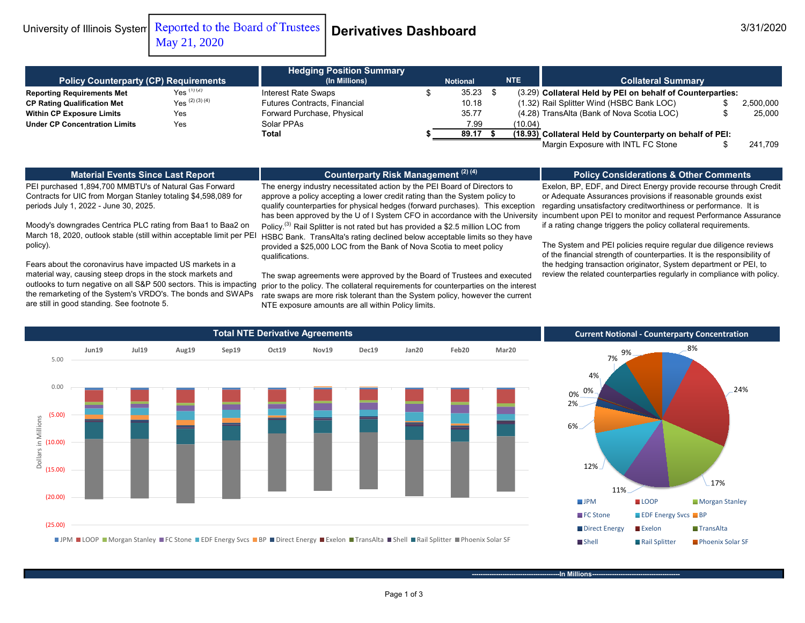University of Illinois System Reported to the Board of Trustees **Derivatives Dashboard** 3/31/2020 May 21, 2020

|                                              |                   | <b>Hedging Position Summary</b>     |  |            |  |                           |                                                            |           |  |
|----------------------------------------------|-------------------|-------------------------------------|--|------------|--|---------------------------|------------------------------------------------------------|-----------|--|
| <b>Policy Counterparty (CP) Requirements</b> |                   | (In Millions)<br><b>Notional</b>    |  | <b>NTE</b> |  | <b>Collateral Summary</b> |                                                            |           |  |
| <b>Reporting Requirements Met</b>            | $Yes^{(1)(2)}$    | Interest Rate Swaps                 |  | 35.23      |  |                           | (3.29) Collateral Held by PEI on behalf of Counterparties: |           |  |
| <b>CP Rating Qualification Met</b>           | $Yes^{(2)(3)(4)}$ | <b>Futures Contracts, Financial</b> |  | 10.18      |  |                           | (1.32) Rail Splitter Wind (HSBC Bank LOC)                  | 2,500,000 |  |
| <b>Within CP Exposure Limits</b>             | Yes               | Forward Purchase, Physical          |  | 35.77      |  |                           | (4.28) TransAlta (Bank of Nova Scotia LOC)                 | 25,000    |  |
| <b>Under CP Concentration Limits</b>         | Yes               | Solar PPAs                          |  | 7.99       |  | (10.04)                   |                                                            |           |  |
|                                              |                   | Total                               |  | 89.17      |  |                           | (18.93) Collateral Held by Counterparty on behalf of PEI:  |           |  |
|                                              |                   |                                     |  |            |  |                           | Margin Exposure with INTL FC Stone                         | 241.709   |  |

#### **Material Events Since Last Report**

### **Counterparty Risk Management (2) (4)**

### **Policy Considerations & Other Comments**

PEI purchased 1,894,700 MMBTU's of Natural Gas Forward Contracts for UIC from Morgan Stanley totaling \$4,598,089 for periods July 1, 2022 - June 30, 2025.

Moody's downgrades Centrica PLC rating from Baa1 to Baa2 on March 18, 2020, outlook stable (still within acceptable limit per PEI policy).

Fears about the coronavirus have impacted US markets in a material way, causing steep drops in the stock markets and outlooks to turn negative on all S&P 500 sectors. This is impacting the remarketing of the System's VRDO's. The bonds and SWAPs are still in good standing. See footnote 5.

The energy industry necessitated action by the PEI Board of Directors to approve a policy accepting a lower credit rating than the System policy to qualify counterparties for physical hedges (forward purchases). This exception has been approved by the U of I System CFO in accordance with the University Policy.<sup>(3)</sup> Rail Splitter is not rated but has provided a \$2.5 million LOC from HSBC Bank. TransAlta's rating declined below acceptable limits so they have provided a \$25,000 LOC from the Bank of Nova Scotia to meet policy qualifications.

The swap agreements were approved by the Board of Trustees and executed prior to the policy. The collateral requirements for counterparties on the interest rate swaps are more risk tolerant than the System policy, however the current NTE exposure amounts are all within Policy limits.

Exelon, BP, EDF, and Direct Energy provide recourse through Credit or Adequate Assurances provisions if reasonable grounds exist regarding unsatisfactory creditworthiness or performance. It is incumbent upon PEI to monitor and request Performance Assurance if a rating change triggers the policy collateral requirements.

The System and PEI policies require regular due diligence reviews of the financial strength of counterparties. It is the responsibility of the hedging transaction originator, System department or PEI, to review the related counterparties regularly in compliance with policy.





**-In Millions-**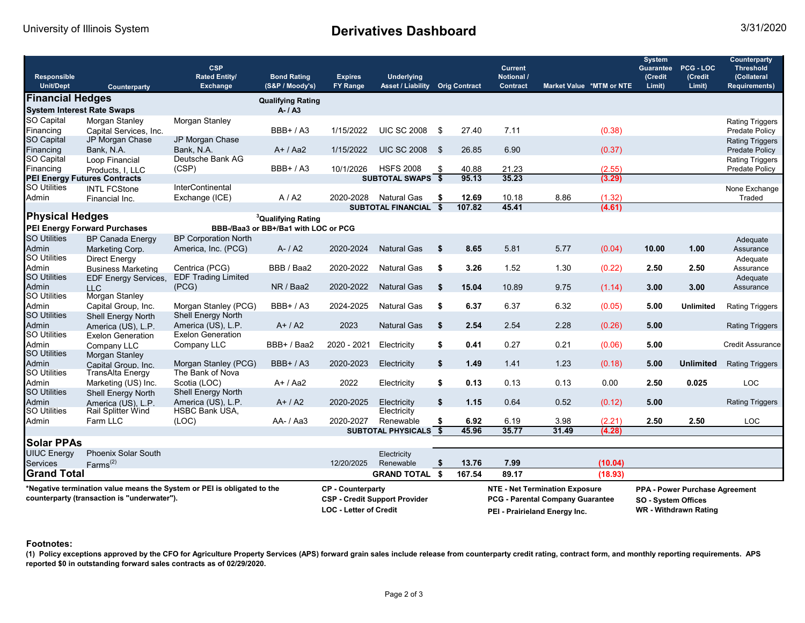# University of Illinois System **Derivatives Dashboard** 3/31/2020

| Responsible<br><b>Unit/Dept</b>                                                                                        | Counterparty                        | <b>CSP</b><br><b>Rated Entity/</b><br><b>Exchange</b>                                             | <b>Bond Rating</b><br>(S&P / Moody's) | <b>Expires</b><br><b>FY Range</b>                                                                                 | <b>Underlying</b><br><b>Asset / Liability Orig Contract</b> |     |        | <b>Current</b><br>Notional /<br><b>Contract</b>                                       | Market Value *MTM or NTE |         | <b>System</b><br><b>Guarantee</b><br>(Credit<br>Limit) | PCG-LOC<br>(Credit<br>Limit) | Counterparty<br><b>Threshold</b><br>(Collateral<br><b>Requirements)</b> |
|------------------------------------------------------------------------------------------------------------------------|-------------------------------------|---------------------------------------------------------------------------------------------------|---------------------------------------|-------------------------------------------------------------------------------------------------------------------|-------------------------------------------------------------|-----|--------|---------------------------------------------------------------------------------------|--------------------------|---------|--------------------------------------------------------|------------------------------|-------------------------------------------------------------------------|
| <b>Financial Hedges</b>                                                                                                |                                     | <b>Qualifying Rating</b>                                                                          |                                       |                                                                                                                   |                                                             |     |        |                                                                                       |                          |         |                                                        |                              |                                                                         |
| <b>System Interest Rate Swaps</b>                                                                                      |                                     |                                                                                                   | $A - I A3$                            |                                                                                                                   |                                                             |     |        |                                                                                       |                          |         |                                                        |                              |                                                                         |
| SO Capital                                                                                                             | Morgan Stanley                      | Morgan Stanley                                                                                    |                                       |                                                                                                                   |                                                             |     |        |                                                                                       |                          |         |                                                        |                              | <b>Rating Triggers</b>                                                  |
| Financing                                                                                                              | Capital Services, Inc.              |                                                                                                   | $BBB+ / A3$                           | 1/15/2022                                                                                                         | <b>UIC SC 2008</b>                                          | \$  | 27.40  | 7.11                                                                                  |                          | (0.38)  |                                                        |                              | Predate Policy                                                          |
| SO Capital                                                                                                             | JP Morgan Chase                     | JP Morgan Chase                                                                                   |                                       |                                                                                                                   |                                                             |     |        |                                                                                       |                          |         |                                                        |                              | <b>Rating Triggers</b>                                                  |
| Financing                                                                                                              | Bank, N.A.                          | Bank, N.A.                                                                                        | $A+ / Aa2$                            | 1/15/2022                                                                                                         | <b>UIC SC 2008</b>                                          | -\$ | 26.85  | 6.90                                                                                  |                          | (0.37)  |                                                        |                              | Predate Policy                                                          |
| SO Capital                                                                                                             | Loop Financial                      | Deutsche Bank AG                                                                                  |                                       |                                                                                                                   |                                                             |     |        |                                                                                       |                          |         |                                                        |                              | <b>Rating Triggers</b>                                                  |
| Financing                                                                                                              | Products. I. LLC                    | (CSP)                                                                                             | <b>BBB+/A3</b>                        | 10/1/2026                                                                                                         | <b>HSFS 2008</b>                                            | \$  | 40.88  | 21.23                                                                                 |                          | (2.55)  |                                                        |                              | Predate Policy                                                          |
|                                                                                                                        | <b>PEI Energy Futures Contracts</b> |                                                                                                   |                                       |                                                                                                                   | SUBTOTAL SWAPS \$                                           |     | 95.13  | 35.23                                                                                 |                          | (3.29)  |                                                        |                              |                                                                         |
| <b>SO Utilities</b>                                                                                                    | <b>INTL FCStone</b>                 | <b>InterContinental</b>                                                                           |                                       |                                                                                                                   |                                                             |     |        |                                                                                       |                          |         |                                                        |                              | None Exchange                                                           |
| Admin                                                                                                                  | Financial Inc.                      | Exchange (ICE)                                                                                    | A/42                                  | 2020-2028                                                                                                         | <b>Natural Gas</b>                                          | \$  | 12.69  | 10.18                                                                                 | 8.86                     | (1.32)  |                                                        |                              | Traded                                                                  |
|                                                                                                                        |                                     |                                                                                                   |                                       |                                                                                                                   | <b>SUBTOTAL FINANCIAL</b>                                   | Ŝ.  | 107.82 | 45.41                                                                                 |                          | (4.61)  |                                                        |                              |                                                                         |
| <b>Physical Hedges</b>                                                                                                 |                                     |                                                                                                   | <sup>3</sup> Qualifying Rating        |                                                                                                                   |                                                             |     |        |                                                                                       |                          |         |                                                        |                              |                                                                         |
|                                                                                                                        | <b>PEI Energy Forward Purchases</b> |                                                                                                   | BBB-/Baa3 or BB+/Ba1 with LOC or PCG  |                                                                                                                   |                                                             |     |        |                                                                                       |                          |         |                                                        |                              |                                                                         |
| <b>SO Utilities</b>                                                                                                    | <b>BP Canada Energy</b>             | <b>BP Corporation North</b>                                                                       |                                       |                                                                                                                   |                                                             |     |        |                                                                                       |                          |         |                                                        |                              | Adequate                                                                |
| Admin                                                                                                                  | Marketing Corp.                     | America, Inc. (PCG)                                                                               | $A - / A2$                            | 2020-2024                                                                                                         | <b>Natural Gas</b>                                          | \$  | 8.65   | 5.81                                                                                  | 5.77                     | (0.04)  | 10.00                                                  | 1.00                         | Assurance                                                               |
| <b>SO Utilities</b>                                                                                                    | <b>Direct Energy</b>                |                                                                                                   |                                       |                                                                                                                   |                                                             |     |        |                                                                                       |                          |         |                                                        |                              | Adequate                                                                |
| Admin                                                                                                                  | <b>Business Marketing</b>           | Centrica (PCG)                                                                                    | BBB / Baa2                            | 2020-2022                                                                                                         | <b>Natural Gas</b>                                          | \$  | 3.26   | 1.52                                                                                  | 1.30                     | (0.22)  | 2.50                                                   | 2.50                         | Assurance                                                               |
| <b>SO Utilities</b>                                                                                                    | EDF Energy Services,                | <b>EDF Trading Limited</b>                                                                        |                                       |                                                                                                                   |                                                             |     |        |                                                                                       |                          |         |                                                        |                              | Adequate                                                                |
| Admin                                                                                                                  | <b>LLC</b>                          | (PCG)                                                                                             | NR / Baa2                             | 2020-2022                                                                                                         | <b>Natural Gas</b>                                          | \$  | 15.04  | 10.89                                                                                 | 9.75                     | (1.14)  | 3.00                                                   | 3.00                         | Assurance                                                               |
| <b>SO Utilities</b>                                                                                                    | Morgan Stanley                      |                                                                                                   |                                       |                                                                                                                   |                                                             |     |        |                                                                                       |                          |         |                                                        |                              |                                                                         |
| Admin                                                                                                                  | Capital Group, Inc.                 | Morgan Stanley (PCG)                                                                              | $BBB+ / A3$                           | 2024-2025                                                                                                         | <b>Natural Gas</b>                                          | \$  | 6.37   | 6.37                                                                                  | 6.32                     | (0.05)  | 5.00                                                   | <b>Unlimited</b>             | <b>Rating Triggers</b>                                                  |
| <b>SO Utilities</b>                                                                                                    | Shell Energy North                  | Shell Energy North                                                                                |                                       |                                                                                                                   |                                                             |     |        |                                                                                       |                          |         |                                                        |                              |                                                                         |
| Admin                                                                                                                  | America (US), L.P.                  | America (US), L.P.                                                                                | $A+/A2$                               | 2023                                                                                                              | <b>Natural Gas</b>                                          | \$  | 2.54   | 2.54                                                                                  | 2.28                     | (0.26)  | 5.00                                                   |                              | <b>Rating Triggers</b>                                                  |
| <b>SO Utilities</b>                                                                                                    | <b>Exelon Generation</b>            | <b>Exelon Generation</b>                                                                          |                                       |                                                                                                                   |                                                             |     |        |                                                                                       |                          |         |                                                        |                              |                                                                         |
| Admin                                                                                                                  | Company LLC                         | Company LLC                                                                                       | BBB+ / Baa2                           | 2020 - 2021                                                                                                       | Electricity                                                 | \$  | 0.41   | 0.27                                                                                  | 0.21                     | (0.06)  | 5.00                                                   |                              | <b>Credit Assurance</b>                                                 |
| <b>SO Utilities</b>                                                                                                    | Morgan Stanley                      |                                                                                                   |                                       |                                                                                                                   |                                                             |     |        |                                                                                       |                          |         |                                                        |                              |                                                                         |
| Admin                                                                                                                  | Capital Group, Inc.                 | Morgan Stanley (PCG)                                                                              | $BBB+ / A3$                           | 2020-2023                                                                                                         | Electricity                                                 | \$  | 1.49   | 1.41                                                                                  | 1.23                     | (0.18)  | 5.00                                                   | <b>Unlimited</b>             | <b>Rating Triggers</b>                                                  |
| <b>SO Utilities</b>                                                                                                    | <b>TransAlta Energy</b>             | The Bank of Nova                                                                                  |                                       |                                                                                                                   |                                                             |     |        |                                                                                       |                          |         |                                                        |                              |                                                                         |
| Admin                                                                                                                  | Marketing (US) Inc.                 | Scotia (LOC)                                                                                      | $A+ / Aa2$                            | 2022                                                                                                              | Electricity                                                 | \$  | 0.13   | 0.13                                                                                  | 0.13                     | 0.00    | 2.50                                                   | 0.025                        | <b>LOC</b>                                                              |
| <b>SO Utilities</b>                                                                                                    | <b>Shell Energy North</b>           | Shell Energy North                                                                                |                                       |                                                                                                                   |                                                             |     |        |                                                                                       |                          |         |                                                        |                              |                                                                         |
| Admin                                                                                                                  | America (US), L.P.                  | America (US), L.P.                                                                                | $A+/A2$                               | 2020-2025                                                                                                         | Electricity                                                 | \$  | 1.15   | 0.64                                                                                  | 0.52                     | (0.12)  | 5.00                                                   |                              | <b>Rating Triggers</b>                                                  |
| <b>SO Utilities</b>                                                                                                    | <b>Rail Splitter Wind</b>           | <b>HSBC Bank USA,</b>                                                                             |                                       |                                                                                                                   | Electricity                                                 |     |        |                                                                                       |                          |         |                                                        |                              |                                                                         |
| Admin                                                                                                                  | Farm LLC                            | (LOC)                                                                                             | AA- / Aa3                             | 2020-2027                                                                                                         | Renewable                                                   | \$  | 6.92   | 6.19                                                                                  | 3.98                     | (2.21)  | 2.50                                                   | 2.50                         | <b>LOC</b>                                                              |
|                                                                                                                        |                                     |                                                                                                   |                                       |                                                                                                                   | <b>SUBTOTAL PHYSICALS</b>                                   | -\$ | 45.96  | 35.77                                                                                 | 31.49                    | (4.28)  |                                                        |                              |                                                                         |
| <b>Solar PPAs</b>                                                                                                      |                                     |                                                                                                   |                                       |                                                                                                                   |                                                             |     |        |                                                                                       |                          |         |                                                        |                              |                                                                         |
|                                                                                                                        |                                     |                                                                                                   |                                       |                                                                                                                   |                                                             |     |        |                                                                                       |                          |         |                                                        |                              |                                                                         |
| <b>UIUC Energy</b>                                                                                                     | <b>Phoenix Solar South</b>          |                                                                                                   |                                       |                                                                                                                   | Electricity                                                 |     |        |                                                                                       |                          |         |                                                        |                              |                                                                         |
| Services                                                                                                               | $Farms^{(2)}$                       |                                                                                                   |                                       | 12/20/2025                                                                                                        | Renewable                                                   | \$  | 13.76  | 7.99                                                                                  |                          | (10.04) |                                                        |                              |                                                                         |
| <b>Grand Total</b>                                                                                                     |                                     |                                                                                                   |                                       |                                                                                                                   | <b>GRAND TOTAL</b>                                          | \$  | 167.54 | 89.17                                                                                 |                          | (18.93) |                                                        |                              |                                                                         |
| *Negative termination value means the System or PEI is obligated to the<br>counterparty (transaction is "underwater"). |                                     | <b>CP</b> - Counterparty<br><b>CSP - Credit Support Provider</b><br><b>LOC - Letter of Credit</b> |                                       | <b>NTE - Net Termination Exposure</b><br><b>PCG - Parental Company Guarantee</b><br>PEI - Prairieland Energy Inc. |                                                             |     |        | PPA - Power Purchase Agreement<br>SO - System Offices<br><b>WR</b> - Withdrawn Rating |                          |         |                                                        |                              |                                                                         |

#### **Footnotes:**

**(1) Policy exceptions approved by the CFO for Agriculture Property Services (APS) forward grain sales include release from counterparty credit rating, contract form, and monthly reporting requirements. APS reported \$0 in outstanding forward sales contracts as of 02/29/2020.**